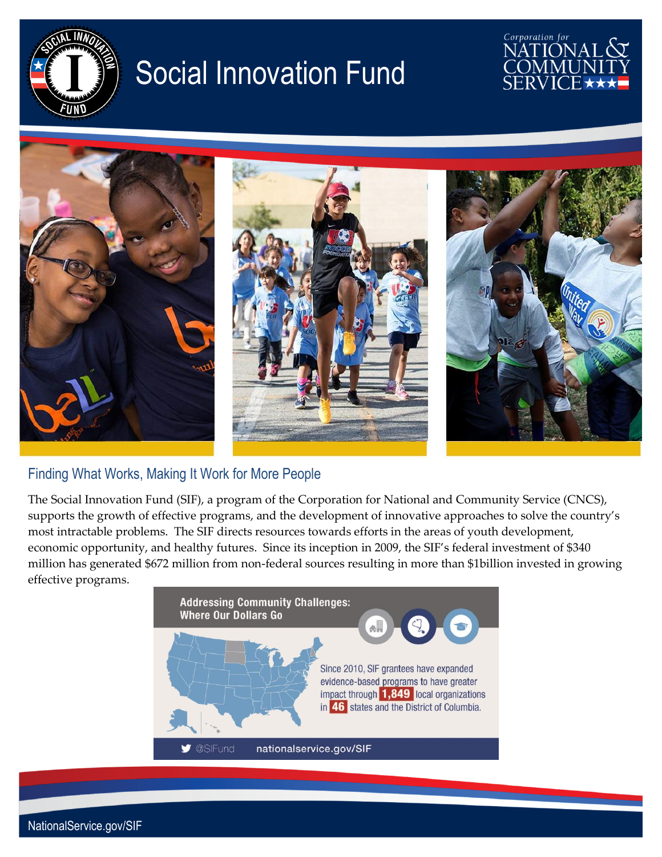

# Social Innovation Fund





#### Finding What Works, Making It Work for More People

The Social Innovation Fund (SIF), a program of the Corporation for National and Community Service (CNCS), supports the growth of effective programs, and the development of innovative approaches to solve the country's most intractable problems. The SIF directs resources towards efforts in the areas of youth development, economic opportunity, and healthy futures. Since its inception in 2009, the SIF's federal investment of \$340 million has generated \$672 million from non-federal sources resulting in more than \$1billion invested in growing effective programs.